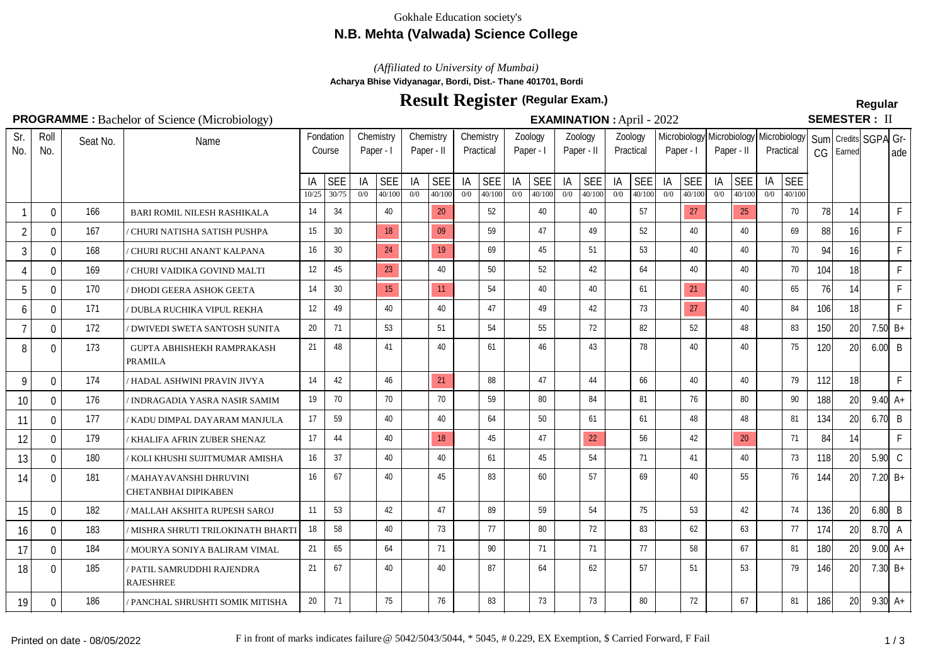### Gokhale Education society's

## **N.B. Mehta (Valwada) Science College**

*(Affiliated to University of Mumbai)*

**Acharya Bhise Vidyanagar, Bordi, Dist.- Thane 401701, Bordi**

# **Result Register Regular (Regular Exam.)**

## **PROGRAMME :** Bachelor of Science (Microbiology) **EXAMINATION :** April - 2022

**SEMESTER: II** 

| Sr.<br>No.     | Roll<br>No.  | Seat No. | Name                                                   |             | Fondation<br>Course | Chemistry<br>Paper - I |                      | Chemistry<br>Paper - II |                      | Chemistry<br>Practical |                      | Zoology<br>Paper - I |                      | Zoology<br>Paper - II |                      | Zoology<br>Practical |                      | Paper - I | Paper - II           |           |                      | Microbiology Microbiology   Microbiology  <br>Practical |                      | Sum Credits SGPA Gr-<br>Earned |                 | l ade           |                      |
|----------------|--------------|----------|--------------------------------------------------------|-------------|---------------------|------------------------|----------------------|-------------------------|----------------------|------------------------|----------------------|----------------------|----------------------|-----------------------|----------------------|----------------------|----------------------|-----------|----------------------|-----------|----------------------|---------------------------------------------------------|----------------------|--------------------------------|-----------------|-----------------|----------------------|
|                |              |          |                                                        | IA<br>10/25 | <b>SEE</b><br>30/75 | IA<br>0/0              | <b>SEE</b><br>40/100 | IA<br>0/0               | <b>SEE</b><br>40/100 | IA<br>0/0              | <b>SEE</b><br>40/100 | IA<br>0/0            | <b>SEE</b><br>40/100 | IA<br>0/0             | <b>SEE</b><br>40/100 | IA<br>0/0            | <b>SEE</b><br>40/100 | IA<br>0/0 | <b>SEE</b><br>40/100 | IA<br>0/0 | <b>SEE</b><br>40/100 | IA<br>0/0                                               | <b>SEE</b><br>40/100 |                                |                 |                 |                      |
|                | $\mathbf 0$  | 166      | BARI ROMIL NILESH RASHIKALA                            | 14          | 34                  |                        | 40                   |                         | 20                   |                        | 52                   |                      | 40                   |                       | 40                   |                      | 57                   |           | 27                   |           | 25                   |                                                         | 70                   | 78                             | 14              |                 | $\mathsf F$          |
| $\overline{2}$ | 0            | 167      | CHURI NATISHA SATISH PUSHPA                            | 15          | 30                  |                        | 18                   |                         | 09                   |                        | 59                   |                      | 47                   |                       | 49                   |                      | 52                   |           | 40                   |           | 40                   |                                                         | 69                   | 88                             | 16 <sup>1</sup> |                 | F                    |
| 3              | 0            | 168      | ' CHURI RUCHI ANANT KALPANA                            | 16          | 30 <sup>°</sup>     |                        | 24                   |                         | 19                   |                        | 69                   |                      | 45                   |                       | 51                   |                      | 53                   |           | 40                   |           | 40                   |                                                         | 70                   | 94                             | 16              |                 | F                    |
| 4              | 0            | 169      | ' CHURI VAIDIKA GOVIND MALTI                           | 12          | 45                  |                        | 23                   |                         | 40                   |                        | 50                   |                      | 52                   |                       | 42                   |                      | 64                   |           | 40                   |           | 40                   |                                                         | 70                   | 104                            | 18              |                 | F                    |
| $\overline{5}$ | $\mathbf{0}$ | 170      | <b>DHODI GEERA ASHOK GEETA</b>                         | 14          | 30                  |                        | 15                   |                         | 11                   |                        | 54                   |                      | 40                   |                       | 40                   |                      | 61                   |           | 21                   |           | 40                   |                                                         | 65                   | 76                             | 14              |                 | $\mathsf{F}$         |
| 6              | $\Omega$     | 171      | ' DUBLA RUCHIKA VIPUL REKHA                            | 12          | 49                  |                        | 40                   |                         | 40                   |                        | 47                   |                      | 49                   |                       | 42                   |                      | 73                   |           | 27                   |           | 40                   |                                                         | 84                   | 106                            | 18I             |                 | F                    |
|                | $\Omega$     | 172      | ' DWIVEDI SWETA SANTOSH SUNITA                         | 20          | 71                  |                        | 53                   |                         | 51                   |                        | 54                   |                      | 55                   |                       | 72                   |                      | 82                   |           | 52                   |           | 48                   |                                                         | 83                   | 150                            | 20              |                 | 7.50 $B+$            |
| 8              | $\mathbf 0$  | 173      | GUPTA ABHISHEKH RAMPRAKASH<br><b>PRAMILA</b>           | 21          | 48                  |                        | 41                   |                         | 40                   |                        | 61                   |                      | 46                   |                       | 43                   |                      | 78                   |           | 40                   |           | 40                   |                                                         | 75                   | 120                            | 20              | $6.00$ B        |                      |
| 9              | 0            | 174      | HADAL ASHWINI PRAVIN JIVYA                             | 14          | 42                  |                        | 46                   |                         | 21                   |                        | 88                   |                      | 47                   |                       | 44                   |                      | 66                   |           | 40                   |           | 40                   |                                                         | 79                   | 112                            | 18              |                 | $\mathsf{F}$         |
| 10             | 0            | 176      | INDRAGADIA YASRA NASIR SAMIM                           | 19          | 70                  |                        | 70                   |                         | 70                   |                        | 59                   |                      | 80                   |                       | 84                   |                      | 81                   |           | 76                   |           | 80                   |                                                         | 90                   | 188                            | 20              |                 | $9.40 \, \text{A} +$ |
| 11             | 0            | 177      | KADU DIMPAL DAYARAM MANJULA                            | 17          | 59                  |                        | 40                   |                         | 40                   |                        | 64                   |                      | 50                   |                       | 61                   |                      | 61                   |           | 48                   |           | 48                   |                                                         | 81                   | 134                            | 20              | $6.70$ B        |                      |
| 12             | 0            | 179      | / KHALIFA AFRIN ZUBER SHENAZ                           | 17          | 44                  |                        | 40                   |                         | 18                   |                        | 45                   |                      | 47                   |                       | 22                   |                      | 56                   |           | 42                   |           | 20                   |                                                         | 71                   | 84                             | 14              |                 | F                    |
| 13             | 0            | 180      | ' KOLI KHUSHI SUJITMUMAR AMISHA                        | 16          | 37                  |                        | 40                   |                         | 40                   |                        | 61                   |                      | 45                   |                       | 54                   |                      | 71                   |           | 41                   |           | 40                   |                                                         | 73                   | 118                            | 20 <sup>1</sup> | $5.90$ C        |                      |
| 14             | $\mathbf 0$  | 181      | ' MAHAYAVANSHI DHRUVINI<br><b>CHETANBHAI DIPIKABEN</b> | 16          | 67                  |                        | 40                   |                         | 45                   |                        | 83                   |                      | 60                   |                       | 57                   |                      | 69                   |           | 40                   |           | 55                   |                                                         | 76                   | 144                            | 20 <sub>l</sub> |                 | 7.20 $B+$            |
| 15             | $\mathbf{0}$ | 182      | / MALLAH AKSHITA RUPESH SAROJ                          | 11          | 53                  |                        | 42                   |                         | 47                   |                        | 89                   |                      | 59                   |                       | 54                   |                      | 75                   |           | 53                   |           | 42                   |                                                         | 74                   | 136                            | 20              | $6.80$ B        |                      |
| 16             | 0            | 183      | ' MISHRA SHRUTI TRILOKINATH BHARTI                     | 18          | 58                  |                        | 40                   |                         | 73                   |                        | 77                   |                      | 80                   |                       | 72                   |                      | 83                   |           | 62                   |           | 63                   |                                                         | 77                   | 174                            | 20              | $8.70\degree$ A |                      |
| 17             | $\Omega$     | 184      | ' MOURYA SONIYA BALIRAM VIMAL                          | 21          | 65                  |                        | 64                   |                         | 71                   |                        | 90                   |                      | 71                   |                       | 71                   |                      | 77                   |           | 58                   |           | 67                   |                                                         | 81                   | 180                            | 20              |                 | $9.00 A+$            |
| 18             | $\mathbf{0}$ | 185      | PATIL SAMRUDDHI RAJENDRA<br><b>RAJESHREE</b>           | 21          | 67                  |                        | 40                   |                         | 40                   |                        | 87                   |                      | 64                   |                       | 62                   |                      | 57                   |           | 51                   |           | 53                   |                                                         | 79                   | 146                            | 20              |                 | 7.30 $B+$            |
| 19             | $\mathbf{0}$ | 186      | ' PANCHAL SHRUSHTI SOMIK MITISHA                       | 20          | 71                  |                        | 75                   |                         | 76                   |                        | 83                   |                      | 73                   |                       | 73                   |                      | 80                   |           | 72                   |           | 67                   |                                                         | 81                   | 186                            | 20              |                 | $9.30 \, \text{A} +$ |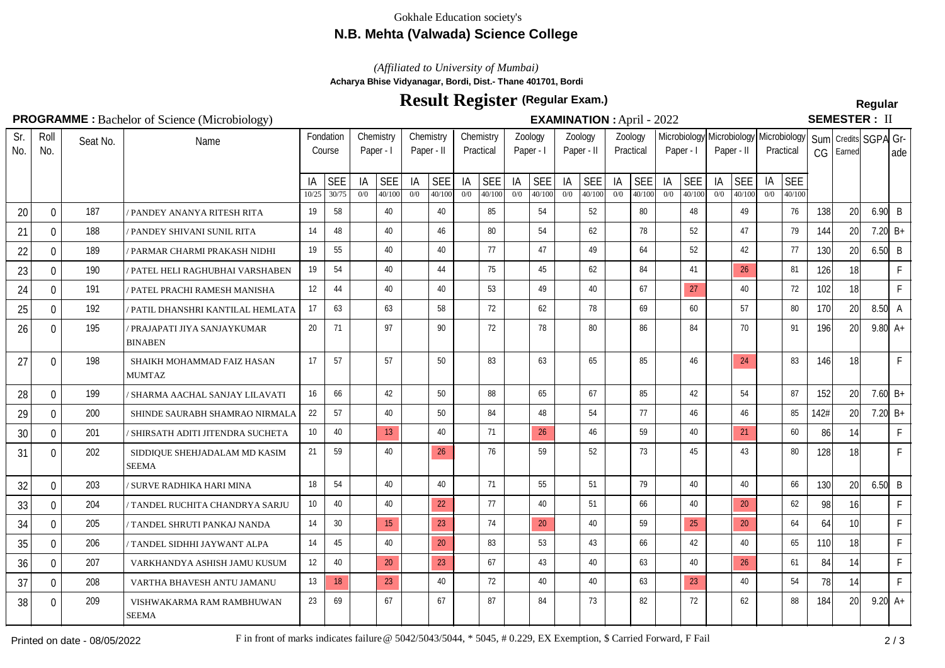### Gokhale Education society's

## **N.B. Mehta (Valwada) Science College**

*(Affiliated to University of Mumbai)*

**Acharya Bhise Vidyanagar, Bordi, Dist.- Thane 401701, Bordi**

# **Result Register Regular (Regular Exam.)**

## **PROGRAMME :** Bachelor of Science (Microbiology) **EXAMINATION :** April - 2022

SEMESTER: II

| Sr.<br>No. | Roll<br>No.  | Seat No. | Name                                          |             | Fondation<br>Course | Chemistry<br>Paper - I |                      | Chemistry<br>Paper - II |                      | Chemistry<br>Practical |                      | Zoology<br>Paper - I |                      | Zoology<br>Paper - II |                      | Zoology<br>Practical |               | Paper - I |               | Paper - II             |                      | Microbiology Microbiology   Microbiology  <br>Practical |                      | CG   | Sum Credits SGPA Gr-<br>Earned |                 | ade          |
|------------|--------------|----------|-----------------------------------------------|-------------|---------------------|------------------------|----------------------|-------------------------|----------------------|------------------------|----------------------|----------------------|----------------------|-----------------------|----------------------|----------------------|---------------|-----------|---------------|------------------------|----------------------|---------------------------------------------------------|----------------------|------|--------------------------------|-----------------|--------------|
|            |              |          |                                               | IA<br>10/25 | <b>SEE</b><br>30/75 | IA<br>0/0              | <b>SEE</b><br>40/100 | IA<br>0/0               | <b>SEE</b><br>40/100 | IA<br>0/0              | <b>SEE</b><br>40/100 | IA<br>0/0            | <b>SEE</b><br>40/100 | IA<br>0/0             | <b>SEE</b><br>40/100 | IA<br>0/0            | SEE<br>40/100 | IA<br>0/0 | SEE<br>40/100 | IA<br>$\overline{0/0}$ | <b>SEE</b><br>40/100 | IA<br>0/0                                               | <b>SEE</b><br>40/100 |      |                                |                 |              |
| 20         | $\Omega$     | 187      | PANDEY ANANYA RITESH RITA                     | 19          | 58                  |                        | 40                   |                         | 40                   |                        | 85                   |                      | 54                   |                       | 52                   |                      | 80            |           | 48            |                        | 49                   |                                                         | 76                   | 138  | 20                             | $6.90$ B        |              |
| 21         | $\Omega$     | 188      | ' PANDEY SHIVANI SUNIL RITA                   | 14          | 48                  |                        | 40                   |                         | 46                   |                        | 80                   |                      | 54                   |                       | 62                   |                      | 78            |           | 52            |                        | 47                   |                                                         | 79                   | 144  | 20                             | 7.20 $B+$       |              |
| 22         | $\mathbf{0}$ | 189      | ' PARMAR CHARMI PRAKASH NIDHI                 | 19          | 55                  |                        | 40                   |                         | 40                   |                        | 77                   |                      | 47                   |                       | 49                   |                      | 64            |           | 52            |                        | 42                   |                                                         | 77                   | 130  | 20                             | $6.50$ B        |              |
| 23         | 0            | 190      | PATEL HELI RAGHUBHAI VARSHABEN                | 19          | 54                  |                        | 40                   |                         | 44                   |                        | 75                   |                      | 45                   |                       | 62                   |                      | 84            |           | 41            |                        | 26                   |                                                         | 81                   | 126  | 18 <sup>1</sup>                |                 | $\mathsf{F}$ |
| 24         | $\Omega$     | 191      | PATEL PRACHI RAMESH MANISHA                   | 12          | 44                  |                        | 40                   |                         | 40                   |                        | 53                   |                      | 49                   |                       | 40                   |                      | 67            |           | 27            |                        | 40                   |                                                         | 72                   | 102  | 18 <sup>1</sup>                |                 | $\mathsf{F}$ |
| 25         | $\Omega$     | 192      | PATIL DHANSHRI KANTILAL HEMLATA               | 17          | 63                  |                        | 63                   |                         | 58                   |                        | 72                   |                      | 62                   |                       | 78                   |                      | 69            |           | 60            |                        | 57                   |                                                         | 80                   | 170  | 20                             | $8.50\text{ A}$ |              |
| 26         | $\Omega$     | 195      | PRAJAPATI JIYA SANJAYKUMAR<br><b>BINABEN</b>  | 20          | 71                  |                        | 97                   |                         | 90                   |                        | 72                   |                      | 78                   |                       | 80                   |                      | 86            |           | 84            |                        | 70                   |                                                         | 91                   | 196  | 20                             | $9.80A +$       |              |
| 27         | $\Omega$     | 198      | SHAIKH MOHAMMAD FAIZ HASAN<br><b>MUMTAZ</b>   | 17          | 57                  |                        | 57                   |                         | 50                   |                        | 83                   |                      | 63                   |                       | 65                   |                      | 85            |           | 46            |                        | 24                   |                                                         | 83                   | 146  | 18                             |                 | $\mathsf{F}$ |
| 28         | $\Omega$     | 199      | SHARMA AACHAL SANJAY LILAVATI                 | 16          | 66                  |                        | 42                   |                         | 50                   |                        | 88                   |                      | 65                   |                       | 67                   |                      | 85            |           | 42            |                        | 54                   |                                                         | 87                   | 152  | 20                             | 7.60 $B+$       |              |
| 29         | $\Omega$     | 200      | SHINDE SAURABH SHAMRAO NIRMALA                | 22          | 57                  |                        | 40                   |                         | 50                   |                        | 84                   |                      | 48                   |                       | 54                   |                      | 77            |           | 46            |                        | 46                   |                                                         | 85                   | 142# | 20                             | 7.20 $B+$       |              |
| 30         | $\Omega$     | 201      | SHIRSATH ADITI JITENDRA SUCHETA               | 10          | 40                  |                        | 13                   |                         | 40                   |                        | 71                   |                      | 26                   |                       | 46                   |                      | 59            |           | 40            |                        | 21                   |                                                         | 60                   | 86   | 14                             |                 | F.           |
| 31         | $\Omega$     | 202      | SIDDIQUE SHEHJADALAM MD KASIM<br><b>SEEMA</b> | 21          | 59                  |                        | 40                   |                         | 26                   |                        | 76                   |                      | 59                   |                       | 52                   |                      | 73            |           | 45            |                        | 43                   |                                                         | 80                   | 128  | 18 <sup>1</sup>                |                 | F            |
| 32         | $\Omega$     | 203      | SURVE RADHIKA HARI MINA                       | 18          | 54                  |                        | 40                   |                         | 40                   |                        | 71                   |                      | 55                   |                       | 51                   |                      | 79            |           | 40            |                        | 40                   |                                                         | 66                   | 130  | 20                             | $6.50$ B        |              |
| 33         | $\Omega$     | 204      | / TANDEL RUCHITA CHANDRYA SARJU               | 10          | 40                  |                        | 40                   |                         | 22                   |                        | 77                   |                      | 40                   |                       | 51                   |                      | 66            |           | 40            |                        | 20                   |                                                         | 62                   | 98   | 16 <sup>1</sup>                |                 | $\mathsf{F}$ |
| 34         | $\Omega$     | 205      | / TANDEL SHRUTI PANKAJ NANDA                  | 14          | 30                  |                        | 15                   |                         | 23                   |                        | 74                   |                      | 20                   |                       | 40                   |                      | 59            |           | 25            |                        | 20                   |                                                         | 64                   | 64   | 10 <sup>1</sup>                |                 | $\mathsf{F}$ |
| 35         | 0            | 206      | TANDEL SIDHHI JAYWANT ALPA                    | 14          | 45                  |                        | 40                   |                         | 20                   |                        | 83                   |                      | 53                   |                       | 43                   |                      | 66            |           | 42            |                        | 40                   |                                                         | 65                   | 110  | 18 <sup>1</sup>                |                 | $\mathsf{F}$ |
| 36         | $\Omega$     | 207      | VARKHANDYA ASHISH JAMU KUSUM                  | 12          | 40                  |                        | 20                   |                         | 23                   |                        | 67                   |                      | 43                   |                       | 40                   |                      | 63            |           | 40            |                        | 26                   |                                                         | 61                   | 84   | 14                             |                 | $\mathsf{F}$ |
| 37         | $\mathbf{0}$ | 208      | VARTHA BHAVESH ANTU JAMANU                    | 13          | 18                  |                        | 23                   |                         | 40                   |                        | 72                   |                      | 40                   |                       | 40                   |                      | 63            |           | 23            |                        | 40                   |                                                         | 54                   | 78   | 14                             |                 | $\mathsf{F}$ |
| 38         | $\mathbf{0}$ | 209      | VISHWAKARMA RAM RAMBHUWAN<br><b>SEEMA</b>     | 23          | 69                  |                        | 67                   |                         | 67                   |                        | 87                   |                      | 84                   |                       | 73                   |                      | 82            |           | 72            |                        | 62                   |                                                         | 88                   | 184  | 20 <sup>1</sup>                | $9.20 A+$       |              |